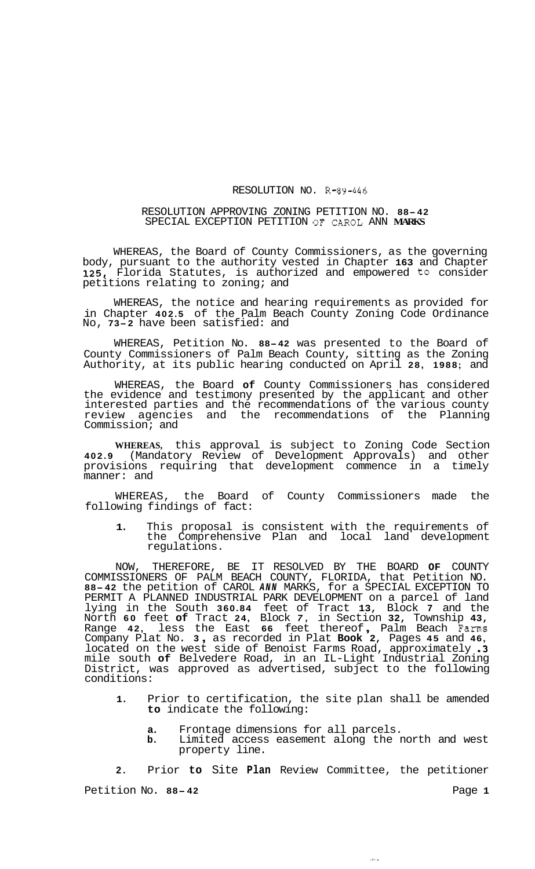## RESOLUTION NO. *R-89-446*

## RESOLUTION APPROVING ZONING PETITION NO. **88-42**  SPECIAL EXCEPTION PETITION **OF** CAROL ANN **MARKS**

WHEREAS, the Board of County Commissioners, as the governing body, pursuant to the authority vested in Chapter **163** and Chapter **125,** Florida Statutes, is authorized and empowered to consider petitions relating to zoning; and

WHEREAS, the notice and hearing requirements as provided for in Chapter **402.5** of the Palm Beach County Zoning Code Ordinance No, **73-2** have been satisfied: and

WHEREAS, Petition No. **88-42** was presented to the Board of County Commissioners of Palm Beach County, sitting as the Zoning Authority, at its public hearing conducted on April **28, 1988;** and

WHEREAS, the Board **of** County Commissioners has considered the evidence and testimony presented by the applicant and other interested parties and the recommendations of the various county review agencies and the recommendations of the Planning Commission; and

**WHEREAS,** this approval is subject to Zoning Code Section **402.9** (Mandatory Review of Development Approvals) and other provisions requiring that development commence in a timely manner: and

WHEREAS, the Board of County Commissioners made the following findings of fact:

**1.** This proposal is consistent with the requirements of the Comprehensive Plan and local land development regulations.

NOW, THEREFORE, BE IT RESOLVED BY THE BOARD **OF** COUNTY COMMISSIONERS OF PALM BEACH COUNTY, FLORIDA, that Petition NO. **88-42** the petition of CAROL *ANN* MARKS, for a SPECIAL EXCEPTION TO PERMIT A PLANNED INDUSTRIAL PARK DEVELOPMENT on a parcel of land lying in the South **360.84** feet of Tract **13,** Block **7** and the North **60** feet **of** Tract **24,** Block *7,* in Section **32,** Township **43,**  Range **42,** less the East **66** feet thereof , Palm Beach Farms Company Plat No. **3** , as recorded in Plat **Book 2,** Pages **45** and **46,**  located on the west side of Benoist Farms Road, approximately **.3**  mile south **of** Belvedere Road, in an IL-Light Industrial Zoning District, was approved as advertised, subject to the following conditions:

- **1.** Prior to certification, the site plan shall be amended **to** indicate the following:
	- **a.** Frontage dimensions for all parcels.
	- **b.** Limited access easement along the north and west property line.

الأنجاد

**2.** Prior **to** Site **Plan** Review Committee, the petitioner Petition No. **88-42** Page 1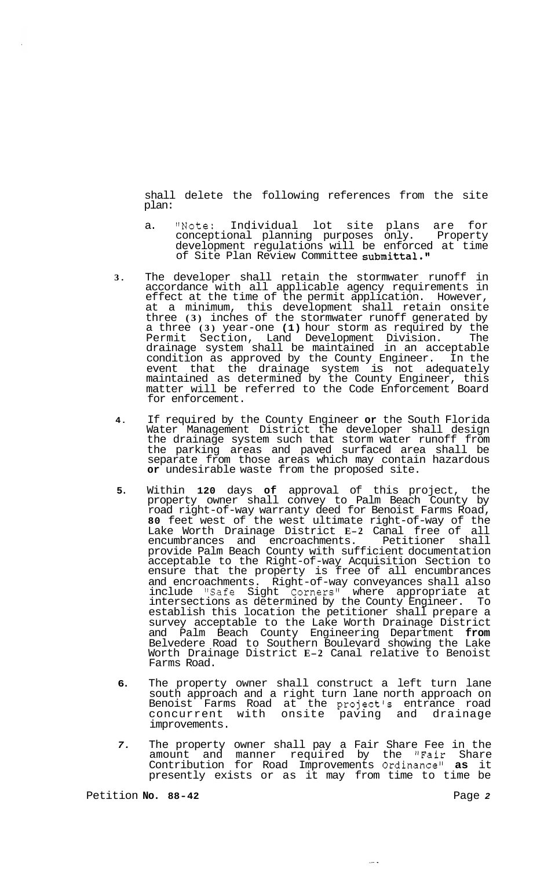shall delete the following references from the site plan:

- a. "Note: Individual lot site plans are for conceptional planning purposes only. Property development regulations will be enforced at time of Site Plan Review Committee submittal."
- **3.** The developer shall retain the stormwater runoff in accordance with all applicable agency requirements in effect at the time of the permit application. However, at a minimum, this development shall retain onsite three **(3)** inches of the stormwater runoff generated by a three **(3)** year-one **(1)** hour storm as required by the Permit Section, Land Development Division. The drainage system shall be maintained in an acceptable condition as approved by the County Engineer. In the event that the drainage system is not adequately maintained as determined by the County Engineer, this matter will be referred to the Code Enforcement Board for enforcement.
- **4.** If required by the County Engineer **or** the South Florida Water Management District the developer shall design the drainage system such that storm water runoff from the parking areas and paved surfaced area shall be separate from those areas which may contain hazardous **or** undesirable waste from the proposed site.
- **5.** Within **120** days **of** approval of this project, the property owner shall convey to Palm Beach County by road right-of-way warranty deed for Benoist Farms Road, **80** feet west of the west ultimate right-of-way of the Lake Worth Drainage District **E-2** Canal free of all encumbrances and encroachments. Petitioner shall provide Palm Beach County with sufficient documentation acceptable to the Right-of-way Acquisition Section to ensure that the property is free of all encumbrances and encroachments. Right-of-way conveyances shall also include "Safe Sight Corners" where appropriate at intersections as determined by the County Engineer. To establish this location the petitioner shall prepare a survey acceptable to the Lake Worth Drainage District and Palm Beach County Engineering Department **from**  Belvedere Road to Southern Boulevard showing the Lake Worth Drainage District **E-2** Canal relative to Benoist Farms Road.
- **6.** The property owner shall construct a left turn lane south approach and a right turn lane north approach on Benoist Farms Road at the project's entrance road concurrent with onsite paving and drainage improvements.
- *7.* The property owner shall pay a Fair Share Fee in the amount and manner required by the "Fair Share Contribution for Road Improvements Ordinance'' **as** it presently exists or as it may from time to time be

المسترد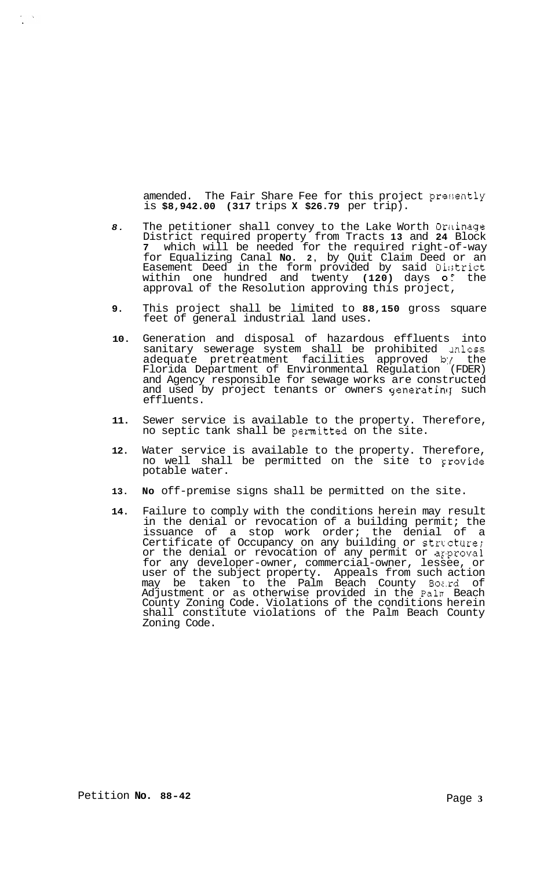amended. The Fair Share Fee for this project presently is **\$8,942.00 (317** trips **X \$26.79** per trip).

- *8.* The petitioner shall convey to the Lake Worth Drikinage District required property from Tracts **13** and **24** Block **7** which will be needed for the required right-of-way for Equalizing Canal **No. 2,** by Quit Claim Deed or an Easement Deed in the form provided by said Dirstrict within one hundred and twenty **(120)** days **OF** the approval of the Resolution approving this project,
- **9.** This project shall be limited to **88,150** gross square feet of general industrial land uses.
- **10.** Generation and disposal of hazardous effluents into sanitary sewerage system shall be prohibited mless adequate pretreatment facilities approved b:{ the Florida Department of Environmental Regulation (FDER) and Agency responsible for sewage works are constructed and used by project tenants or owners generating such effluents.
- **11.** Sewer service is available to the property. Therefore, no septic tank shall be permitted on the site.
- **12.** Water service is available to the property. Therefore, no well shall be permitted on the site to Frovide potable water.
- **13. No** off-premise signs shall be permitted on the site.
- **14.** Failure to comply with the conditions herein may result in the denial or revocation of a building permit; the issuance of a stop work order; the denial of a Certificate of Occupancy on any building or strccture; or the denial or revocation of any permit or approval for any developer-owner, commercial-owner, lessee, or user of the subject property. Appeals from such action may be taken to the Palm Beach County Boz.rd of Adjustment or as otherwise provided in the Pallr Beach County Zoning Code. Violations of the conditions herein shall constitute violations of the Palm Beach County Zoning Code.

 $\frac{1}{\sqrt{2}}$